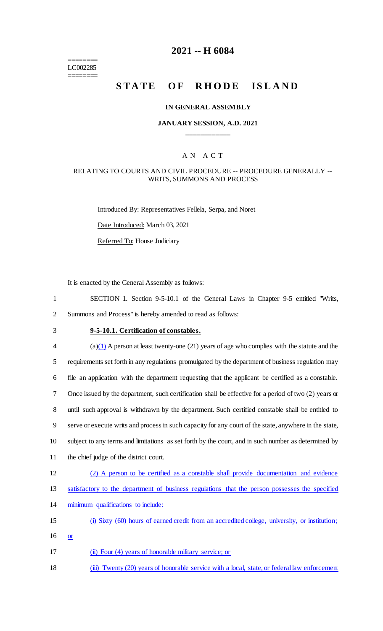======== LC002285 ========

### **2021 -- H 6084**

# **STATE OF RHODE ISLAND**

#### **IN GENERAL ASSEMBLY**

### **JANUARY SESSION, A.D. 2021 \_\_\_\_\_\_\_\_\_\_\_\_**

### A N A C T

#### RELATING TO COURTS AND CIVIL PROCEDURE -- PROCEDURE GENERALLY -- WRITS, SUMMONS AND PROCESS

Introduced By: Representatives Fellela, Serpa, and Noret Date Introduced: March 03, 2021 Referred To: House Judiciary

It is enacted by the General Assembly as follows:

- 1 SECTION 1. Section 9-5-10.1 of the General Laws in Chapter 9-5 entitled "Writs, 2 Summons and Process" is hereby amended to read as follows:
- 

# 3 **9-5-10.1. Certification of constables.**

 $\frac{4}{2}$  (a)(1) A person at least twenty-one (21) years of age who complies with the statute and the requirements set forth in any regulations promulgated by the department of business regulation may file an application with the department requesting that the applicant be certified as a constable. Once issued by the department, such certification shall be effective for a period of two (2) years or until such approval is withdrawn by the department. Such certified constable shall be entitled to serve or execute writs and process in such capacity for any court of the state, anywhere in the state, subject to any terms and limitations as set forth by the court, and in such number as determined by the chief judge of the district court. (2) A person to be certified as a constable shall provide documentation and evidence satisfactory to the department of business regulations that the person possesses the specified minimum qualifications to include:

- 15 (i) Sixty (60) hours of earned credit from an accredited college, university, or institution;
- 16 or
- 17 (ii) Four (4) years of honorable military service; or
- 18 (iii) Twenty (20) years of honorable service with a local, state, or federal law enforcement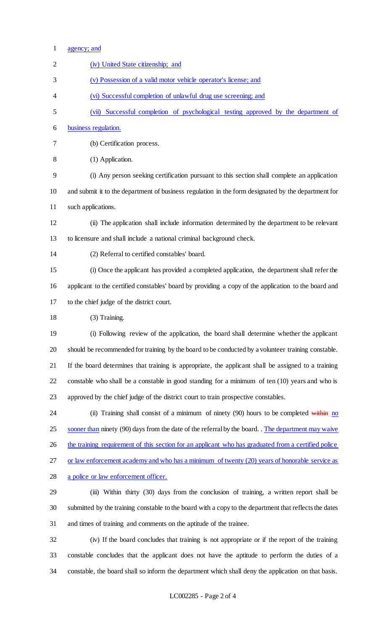| $\mathbf{1}$   | agency; and                                                                                            |
|----------------|--------------------------------------------------------------------------------------------------------|
| $\overline{2}$ | (iv) United State citizenship; and                                                                     |
| 3              | (v) Possession of a valid motor vehicle operator's license; and                                        |
| 4              | (vi) Successful completion of unlawful drug use screening; and                                         |
| 5              | (vii) Successful completion of psychological testing approved by the department of                     |
| 6              | business regulation.                                                                                   |
| 7              | (b) Certification process.                                                                             |
| 8              | (1) Application.                                                                                       |
| 9              | (i) Any person seeking certification pursuant to this section shall complete an application            |
| 10             | and submit it to the department of business regulation in the form designated by the department for    |
| 11             | such applications.                                                                                     |
| 12             | (ii) The application shall include information determined by the department to be relevant             |
| 13             | to licensure and shall include a national criminal background check.                                   |
| 14             | (2) Referral to certified constables' board.                                                           |
| 15             | (i) Once the applicant has provided a completed application, the department shall refer the            |
| 16             | applicant to the certified constables' board by providing a copy of the application to the board and   |
| 17             | to the chief judge of the district court.                                                              |
| 18             | (3) Training.                                                                                          |
| 19             | (i) Following review of the application, the board shall determine whether the applicant               |
| 20             | should be recommended for training by the board to be conducted by a volunteer training constable.     |
| 21             | If the board determines that training is appropriate, the applicant shall be assigned to a training    |
| 22             | constable who shall be a constable in good standing for a minimum of ten (10) years and who is         |
| 23             | approved by the chief judge of the district court to train prospective constables.                     |
| 24             | (ii) Training shall consist of a minimum of ninety $(90)$ hours to be completed within no              |
| 25             | sooner than ninety (90) days from the date of the referral by the board. The department may waive      |
| 26             | the training requirement of this section for an applicant who has graduated from a certified police    |
| 27             | or law enforcement academy and who has a minimum of twenty (20) years of honorable service as          |
| 28             | a police or law enforcement officer.                                                                   |
| 29             | (iii) Within thirty (30) days from the conclusion of training, a written report shall be               |
| 30             | submitted by the training constable to the board with a copy to the department that reflects the dates |
| 31             | and times of training and comments on the aptitude of the trainee.                                     |
| 32             | (iv) If the board concludes that training is not appropriate or if the report of the training          |
| 33             | constable concludes that the applicant does not have the aptitude to perform the duties of a           |

constable, the board shall so inform the department which shall deny the application on that basis.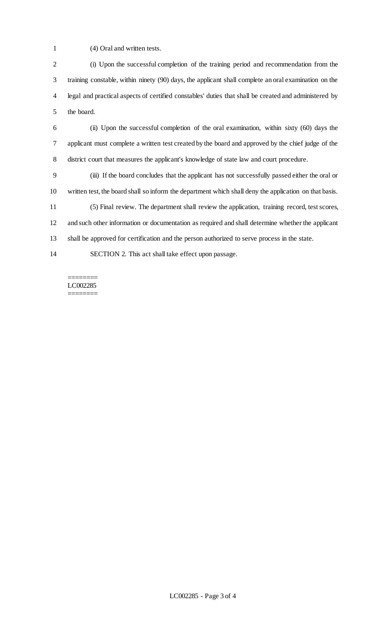(4) Oral and written tests.

 (i) Upon the successful completion of the training period and recommendation from the training constable, within ninety (90) days, the applicant shall complete an oral examination on the legal and practical aspects of certified constables' duties that shall be created and administered by the board.

 (ii) Upon the successful completion of the oral examination, within sixty (60) days the applicant must complete a written test created by the board and approved by the chief judge of the district court that measures the applicant's knowledge of state law and court procedure.

 (iii) If the board concludes that the applicant has not successfully passed either the oral or written test, the board shall so inform the department which shall deny the application on that basis.

 (5) Final review. The department shall review the application, training record, test scores, and such other information or documentation as required and shall determine whether the applicant shall be approved for certification and the person authorized to serve process in the state.

SECTION 2. This act shall take effect upon passage.

======== LC002285 ========